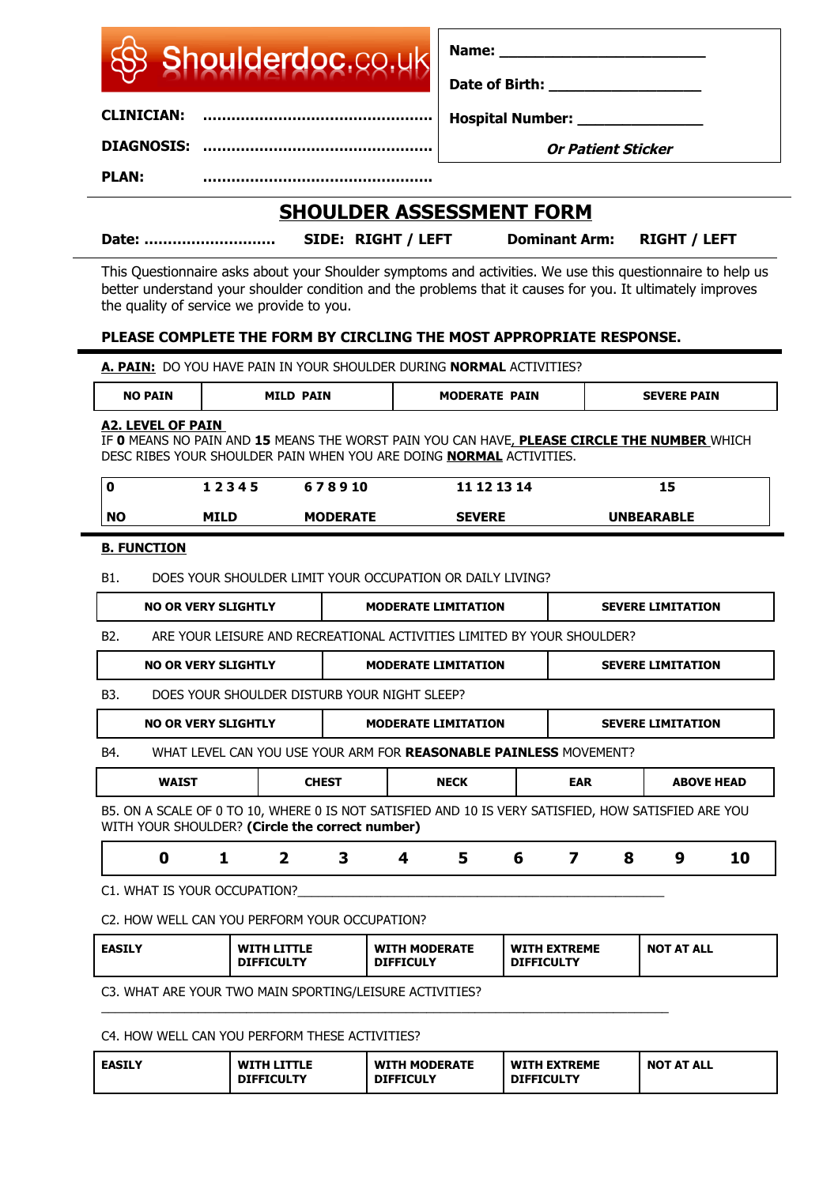| Shoulderdoc.co.uk |
|-------------------|
|                   |

**Name:**  $\blacksquare$ 

**Date of Birth: \_\_\_\_\_\_\_\_\_\_\_\_\_\_\_\_\_**

**Hospital Number:** 

**DIAGNOSIS: ………………………………………….**

**CLINICIAN: ………………………………………….**

**Or Patient Sticker**

**PLAN: ………………………………………….**

# **SHOULDER ASSESSMENT FORM**

**Date: ………………………. SIDE: RIGHT / LEFT Dominant Arm: RIGHT / LEFT**

This Questionnaire asks about your Shoulder symptoms and activities. We use this questionnaire to help us better understand your shoulder condition and the problems that it causes for you. It ultimately improves the quality of service we provide to you.

### **PLEASE COMPLETE THE FORM BY CIRCLING THE MOST APPROPRIATE RESPONSE.**

|                  | A. PAIN: DO YOU HAVE PAIN IN YOUR SHOULDER DURING NORMAL ACTIVITIES?                                                                                                                           |             |                  |                                                                          |                                            |                            |                   |                         |   |                          |                   |
|------------------|------------------------------------------------------------------------------------------------------------------------------------------------------------------------------------------------|-------------|------------------|--------------------------------------------------------------------------|--------------------------------------------|----------------------------|-------------------|-------------------------|---|--------------------------|-------------------|
|                  | <b>NO PAIN</b>                                                                                                                                                                                 |             | <b>MILD PAIN</b> |                                                                          | <b>MODERATE PAIN</b><br><b>SEVERE PAIN</b> |                            |                   |                         |   |                          |                   |
|                  | <b>A2. LEVEL OF PAIN</b><br>IF O MEANS NO PAIN AND 15 MEANS THE WORST PAIN YOU CAN HAVE, PLEASE CIRCLE THE NUMBER WHICH<br>DESC RIBES YOUR SHOULDER PAIN WHEN YOU ARE DOING NORMAL ACTIVITIES. |             |                  |                                                                          |                                            |                            |                   |                         |   |                          |                   |
| $\mathbf{0}$     |                                                                                                                                                                                                | 12345       |                  | 678910                                                                   |                                            |                            | 11 12 13 14       |                         |   | 15                       |                   |
| <b>NO</b>        |                                                                                                                                                                                                | <b>MILD</b> |                  | <b>MODERATE</b>                                                          | <b>SEVERE</b>                              |                            | <b>UNBEARABLE</b> |                         |   |                          |                   |
|                  | <b>B. FUNCTION</b>                                                                                                                                                                             |             |                  |                                                                          |                                            |                            |                   |                         |   |                          |                   |
| B1.              |                                                                                                                                                                                                |             |                  | DOES YOUR SHOULDER LIMIT YOUR OCCUPATION OR DAILY LIVING?                |                                            |                            |                   |                         |   |                          |                   |
|                  | <b>NO OR VERY SLIGHTLY</b>                                                                                                                                                                     |             |                  |                                                                          |                                            | <b>MODERATE LIMITATION</b> |                   |                         |   | <b>SEVERE LIMITATION</b> |                   |
| B <sub>2</sub> . |                                                                                                                                                                                                |             |                  | ARE YOUR LEISURE AND RECREATIONAL ACTIVITIES LIMITED BY YOUR SHOULDER?   |                                            |                            |                   |                         |   |                          |                   |
|                  | <b>NO OR VERY SLIGHTLY</b>                                                                                                                                                                     |             |                  |                                                                          |                                            | <b>MODERATE LIMITATION</b> |                   |                         |   | <b>SEVERE LIMITATION</b> |                   |
| B <sub>3</sub> . |                                                                                                                                                                                                |             |                  | DOES YOUR SHOULDER DISTURB YOUR NIGHT SLEEP?                             |                                            |                            |                   |                         |   |                          |                   |
|                  | <b>NO OR VERY SLIGHTLY</b>                                                                                                                                                                     |             |                  |                                                                          |                                            | <b>MODERATE LIMITATION</b> |                   |                         |   | <b>SEVERE LIMITATION</b> |                   |
| B4.              |                                                                                                                                                                                                |             |                  | WHAT LEVEL CAN YOU USE YOUR ARM FOR <b>REASONABLE PAINLESS</b> MOVEMENT? |                                            |                            |                   |                         |   |                          |                   |
|                  | <b>WAIST</b>                                                                                                                                                                                   |             |                  | <b>CHEST</b>                                                             |                                            | <b>NECK</b>                |                   | <b>EAR</b>              |   |                          | <b>ABOVE HEAD</b> |
|                  | B5. ON A SCALE OF 0 TO 10, WHERE 0 IS NOT SATISFIED AND 10 IS VERY SATISFIED, HOW SATISFIED ARE YOU<br>WITH YOUR SHOULDER? (Circle the correct number)                                         |             |                  |                                                                          |                                            |                            |                   |                         |   |                          |                   |
|                  | $\mathbf 0$                                                                                                                                                                                    | 1           | $\overline{2}$   | 3                                                                        | 4                                          | 5                          | 6                 | $\overline{\mathbf{z}}$ | 8 | 9                        | 10                |
|                  | C1. WHAT IS YOUR OCCUPATION?                                                                                                                                                                   |             |                  |                                                                          |                                            |                            |                   |                         |   |                          |                   |
|                  |                                                                                                                                                                                                |             |                  |                                                                          |                                            |                            |                   |                         |   |                          |                   |

C2. HOW WELL CAN YOU PERFORM YOUR OCCUPATION?

| <b>DIFFICULY</b><br><b>DIFFICULTY</b><br><b>DIFFICULTY</b> | <b>EASILY</b> | WITH LITTLE | <b>WITH MODERATE</b> | <b>WITH EXTREME</b> | <b>NOT AT ALL</b> |
|------------------------------------------------------------|---------------|-------------|----------------------|---------------------|-------------------|
|------------------------------------------------------------|---------------|-------------|----------------------|---------------------|-------------------|

C3. WHAT ARE YOUR TWO MAIN SPORTING/LEISURE ACTIVITIES? \_\_\_\_\_\_\_\_\_\_\_\_\_\_\_\_\_\_\_\_\_\_\_\_\_\_\_\_\_\_\_\_\_\_\_\_\_\_\_\_\_\_\_\_\_\_\_\_\_\_\_\_\_\_\_\_\_\_\_\_\_\_\_\_\_\_\_\_\_\_\_\_\_\_\_\_\_\_\_\_\_\_

C4. HOW WELL CAN YOU PERFORM THESE ACTIVITIES?

| <b>EASILY</b> | <b>WITH LITTLE</b><br><b>DIFFICULTY</b> | <b>WITH MODERATE</b><br><b>DIFFICULY</b> | <b>WITH EXTREME</b><br><b>DIFFICULTY</b> | <b>NOT AT ALL</b> |
|---------------|-----------------------------------------|------------------------------------------|------------------------------------------|-------------------|
|---------------|-----------------------------------------|------------------------------------------|------------------------------------------|-------------------|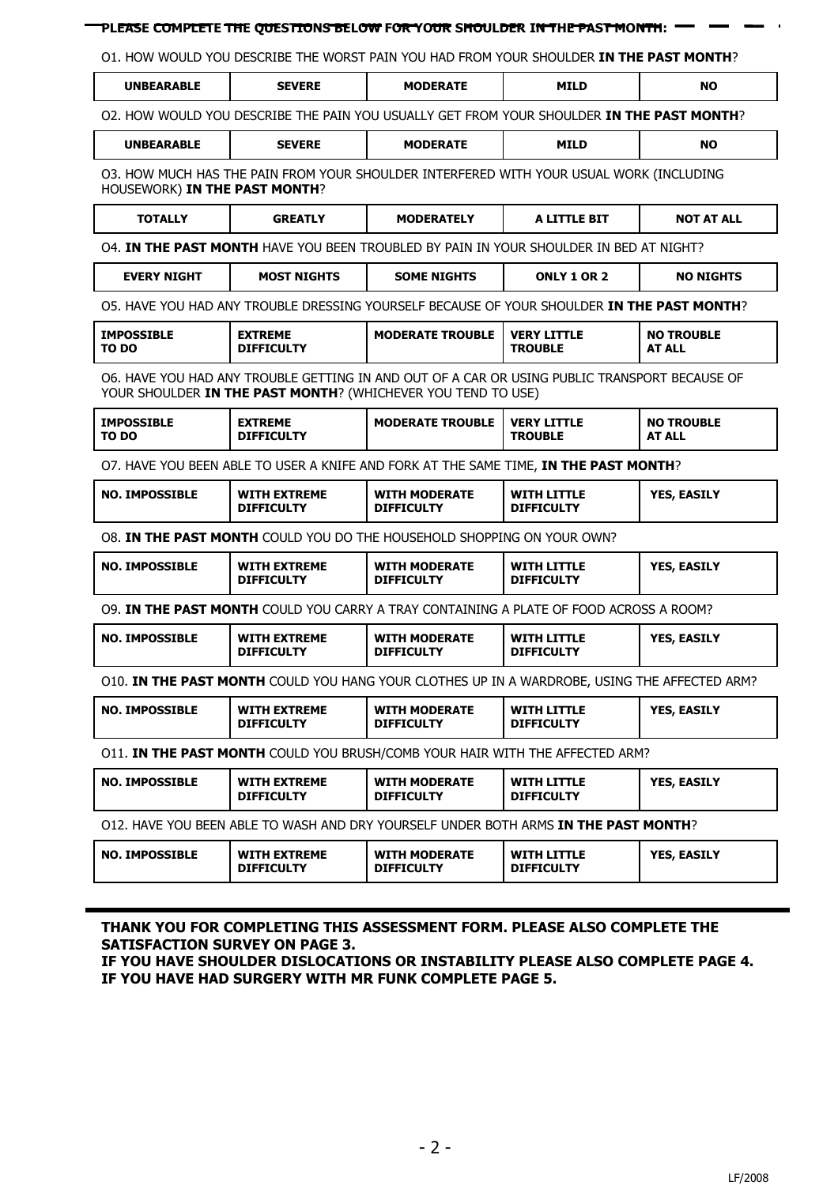#### **PLEASE COMPLETE THE QUESTIONS BELOW FOR YOUR SHOULDER IN THE PAST MONTH:**

O1. HOW WOULD YOU DESCRIBE THE WORST PAIN YOU HAD FROM YOUR SHOULDER **IN THE PAST MONTH**?

| <b>UNBEARABLE</b>                                                                                                        | <b>SEVERE</b>                                                                                                                                                 | <b>MODERATE</b>                           | <b>MILD</b>                             | <b>NO</b>                          |  |  |  |  |  |  |  |
|--------------------------------------------------------------------------------------------------------------------------|---------------------------------------------------------------------------------------------------------------------------------------------------------------|-------------------------------------------|-----------------------------------------|------------------------------------|--|--|--|--|--|--|--|
|                                                                                                                          | 02. HOW WOULD YOU DESCRIBE THE PAIN YOU USUALLY GET FROM YOUR SHOULDER IN THE PAST MONTH?                                                                     |                                           |                                         |                                    |  |  |  |  |  |  |  |
| <b>UNBEARABLE</b>                                                                                                        | <b>SEVERE</b>                                                                                                                                                 | <b>MODERATE</b>                           | <b>MILD</b>                             | <b>NO</b>                          |  |  |  |  |  |  |  |
| 03. HOW MUCH HAS THE PAIN FROM YOUR SHOULDER INTERFERED WITH YOUR USUAL WORK (INCLUDING<br>HOUSEWORK) IN THE PAST MONTH? |                                                                                                                                                               |                                           |                                         |                                    |  |  |  |  |  |  |  |
| <b>TOTALLY</b>                                                                                                           | <b>GREATLY</b>                                                                                                                                                | <b>MODERATELY</b>                         | <b>A LITTLE BIT</b>                     | <b>NOT AT ALL</b>                  |  |  |  |  |  |  |  |
| 04. IN THE PAST MONTH HAVE YOU BEEN TROUBLED BY PAIN IN YOUR SHOULDER IN BED AT NIGHT?                                   |                                                                                                                                                               |                                           |                                         |                                    |  |  |  |  |  |  |  |
| <b>EVERY NIGHT</b>                                                                                                       | <b>MOST NIGHTS</b>                                                                                                                                            | <b>SOME NIGHTS</b>                        | <b>ONLY 1 OR 2</b>                      | <b>NO NIGHTS</b>                   |  |  |  |  |  |  |  |
|                                                                                                                          | O5. HAVE YOU HAD ANY TROUBLE DRESSING YOURSELF BECAUSE OF YOUR SHOULDER IN THE PAST MONTH?                                                                    |                                           |                                         |                                    |  |  |  |  |  |  |  |
| <b>IMPOSSIBLE</b><br>TO DO                                                                                               | <b>EXTREME</b><br><b>DIFFICULTY</b>                                                                                                                           | <b>MODERATE TROUBLE</b>                   | <b>VERY LITTLE</b><br><b>TROUBLE</b>    | <b>NO TROUBLE</b><br><b>AT ALL</b> |  |  |  |  |  |  |  |
|                                                                                                                          | O6. HAVE YOU HAD ANY TROUBLE GETTING IN AND OUT OF A CAR OR USING PUBLIC TRANSPORT BECAUSE OF<br>YOUR SHOULDER IN THE PAST MONTH? (WHICHEVER YOU TEND TO USE) |                                           |                                         |                                    |  |  |  |  |  |  |  |
| <b>IMPOSSIBLE</b><br>TO DO                                                                                               | <b>EXTREME</b><br><b>DIFFICULTY</b>                                                                                                                           | <b>MODERATE TROUBLE</b>                   | <b>VERY LITTLE</b><br><b>TROUBLE</b>    | <b>NO TROUBLE</b><br><b>AT ALL</b> |  |  |  |  |  |  |  |
| O7. HAVE YOU BEEN ABLE TO USER A KNIFE AND FORK AT THE SAME TIME, IN THE PAST MONTH?                                     |                                                                                                                                                               |                                           |                                         |                                    |  |  |  |  |  |  |  |
| <b>NO. IMPOSSIBLE</b>                                                                                                    | <b>WITH EXTREME</b><br><b>DIFFICULTY</b>                                                                                                                      | <b>WITH MODERATE</b><br><b>DIFFICULTY</b> | <b>WITH LITTLE</b><br><b>DIFFICULTY</b> | YES, EASILY                        |  |  |  |  |  |  |  |
|                                                                                                                          | O8. IN THE PAST MONTH COULD YOU DO THE HOUSEHOLD SHOPPING ON YOUR OWN?                                                                                        |                                           |                                         |                                    |  |  |  |  |  |  |  |
| <b>NO. IMPOSSIBLE</b>                                                                                                    | <b>WITH EXTREME</b><br><b>DIFFICULTY</b>                                                                                                                      | <b>WITH MODERATE</b><br><b>DIFFICULTY</b> | <b>WITH LITTLE</b><br><b>DIFFICULTY</b> | YES, EASILY                        |  |  |  |  |  |  |  |
|                                                                                                                          | 09. IN THE PAST MONTH COULD YOU CARRY A TRAY CONTAINING A PLATE OF FOOD ACROSS A ROOM?                                                                        |                                           |                                         |                                    |  |  |  |  |  |  |  |
| <b>NO. IMPOSSIBLE</b>                                                                                                    | <b>WITH EXTREME</b><br><b>DIFFICULTY</b>                                                                                                                      | <b>WITH MODERATE</b><br><b>DIFFICULTY</b> | <b>WITH LITTLE</b><br><b>DIFFICULTY</b> | YES, EASILY                        |  |  |  |  |  |  |  |
|                                                                                                                          | O10. IN THE PAST MONTH COULD YOU HANG YOUR CLOTHES UP IN A WARDROBE, USING THE AFFECTED ARM?                                                                  |                                           |                                         |                                    |  |  |  |  |  |  |  |
| <b>NO. IMPOSSIBLE</b>                                                                                                    | <b>WITH EXTREME</b><br><b>DIFFICULTY</b>                                                                                                                      | <b>WITH MODERATE</b><br><b>DIFFICULTY</b> | <b>WITH LITTLE</b><br><b>DIFFICULTY</b> | YES, EASILY                        |  |  |  |  |  |  |  |
|                                                                                                                          | O11. IN THE PAST MONTH COULD YOU BRUSH/COMB YOUR HAIR WITH THE AFFECTED ARM?                                                                                  |                                           |                                         |                                    |  |  |  |  |  |  |  |
| <b>NO. IMPOSSIBLE</b>                                                                                                    | <b>WITH EXTREME</b><br><b>DIFFICULTY</b>                                                                                                                      | <b>WITH MODERATE</b><br><b>DIFFICULTY</b> | <b>WITH LITTLE</b><br><b>DIFFICULTY</b> | YES, EASILY                        |  |  |  |  |  |  |  |
|                                                                                                                          | 012. HAVE YOU BEEN ABLE TO WASH AND DRY YOURSELF UNDER BOTH ARMS IN THE PAST MONTH?                                                                           |                                           |                                         |                                    |  |  |  |  |  |  |  |
| <b>NO. IMPOSSIBLE</b>                                                                                                    | <b>WITH EXTREME</b><br><b>DIFFICULTY</b>                                                                                                                      | <b>WITH MODERATE</b><br><b>DIFFICULTY</b> | <b>WITH LITTLE</b><br><b>DIFFICULTY</b> | YES, EASILY                        |  |  |  |  |  |  |  |

**SATISFACTION SURVEY ON PAGE 3.**

**IF YOU HAVE SHOULDER DISLOCATIONS OR INSTABILITY PLEASE ALSO COMPLETE PAGE 4. IF YOU HAVE HAD SURGERY WITH MR FUNK COMPLETE PAGE 5.**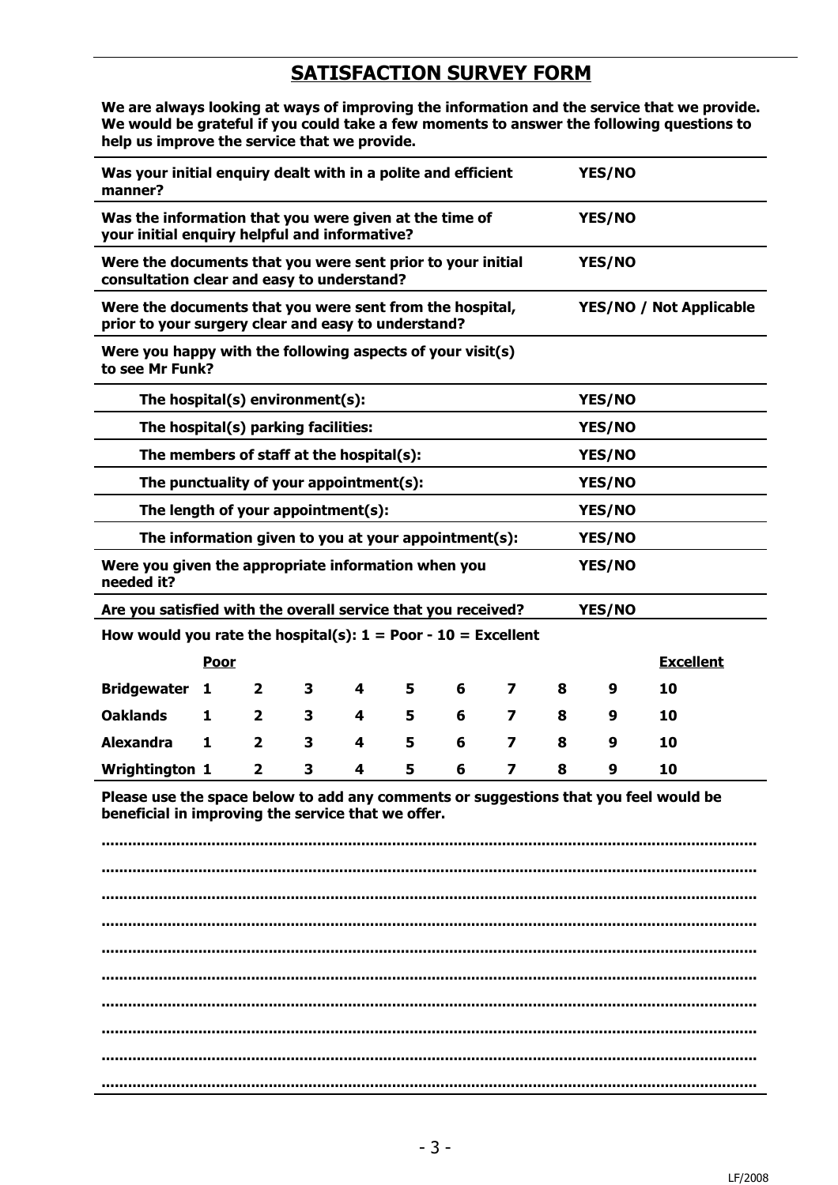# **SATISFACTION SURVEY FORM**

**We are always looking at ways of improving the information and the service that we provide. We would be grateful if you could take a few moments to answer the following questions to help us improve the service that we provide.** 

| Was your initial enquiry dealt with in a polite and efficient<br>YES/NO<br>manner?                                                         |                                                                                                                       |              |   |   |   |   |                         |   |        |                                |
|--------------------------------------------------------------------------------------------------------------------------------------------|-----------------------------------------------------------------------------------------------------------------------|--------------|---|---|---|---|-------------------------|---|--------|--------------------------------|
| Was the information that you were given at the time of<br>YES/NO<br>your initial enquiry helpful and informative?                          |                                                                                                                       |              |   |   |   |   |                         |   |        |                                |
|                                                                                                                                            | YES/NO<br>Were the documents that you were sent prior to your initial<br>consultation clear and easy to understand?   |              |   |   |   |   |                         |   |        |                                |
| Were the documents that you were sent from the hospital,<br>prior to your surgery clear and easy to understand?                            |                                                                                                                       |              |   |   |   |   |                         |   |        | <b>YES/NO / Not Applicable</b> |
| Were you happy with the following aspects of your visit(s)<br>to see Mr Funk?                                                              |                                                                                                                       |              |   |   |   |   |                         |   |        |                                |
| The hospital(s) environment(s):                                                                                                            |                                                                                                                       |              |   |   |   |   |                         |   | YES/NO |                                |
| The hospital(s) parking facilities:                                                                                                        |                                                                                                                       |              |   |   |   |   |                         |   | YES/NO |                                |
| The members of staff at the hospital(s):                                                                                                   |                                                                                                                       |              |   |   |   |   |                         |   | YES/NO |                                |
| The punctuality of your appointment(s):                                                                                                    |                                                                                                                       |              |   |   |   |   |                         |   | YES/NO |                                |
| The length of your appointment(s):                                                                                                         |                                                                                                                       |              |   |   |   |   |                         |   | YES/NO |                                |
|                                                                                                                                            |                                                                                                                       |              |   |   |   |   |                         |   | YES/NO |                                |
| needed it?                                                                                                                                 | The information given to you at your appointment(s):<br>Were you given the appropriate information when you<br>YES/NO |              |   |   |   |   |                         |   |        |                                |
| Are you satisfied with the overall service that you received?<br>YES/NO                                                                    |                                                                                                                       |              |   |   |   |   |                         |   |        |                                |
|                                                                                                                                            | How would you rate the hospital(s): $1 =$ Poor - 10 = Excellent                                                       |              |   |   |   |   |                         |   |        |                                |
|                                                                                                                                            | Poor                                                                                                                  |              |   |   |   |   |                         |   |        | <b>Excellent</b>               |
| <b>Bridgewater</b>                                                                                                                         | 1                                                                                                                     | $\mathbf{2}$ | 3 | 4 | 5 | 6 | $\overline{\mathbf{z}}$ | 8 | 9      | 10                             |
| <b>Oaklands</b>                                                                                                                            | 1                                                                                                                     | 2            | 3 | 4 | 5 | 6 | 7                       | 8 | 9      | 10                             |
| <b>Alexandra</b>                                                                                                                           | 1                                                                                                                     | $\mathbf{2}$ | 3 | 4 | 5 | 6 | 7                       | 8 | 9      | 10                             |
| <b>Wrightington 1</b>                                                                                                                      |                                                                                                                       | $\mathbf{2}$ | 3 | 4 | 5 | 6 | 7                       | 8 | 9      | 10                             |
| Please use the space below to add any comments or suggestions that you feel would be<br>beneficial in improving the service that we offer. |                                                                                                                       |              |   |   |   |   |                         |   |        |                                |
|                                                                                                                                            |                                                                                                                       |              |   |   |   |   |                         |   |        |                                |
|                                                                                                                                            |                                                                                                                       |              |   |   |   |   |                         |   |        |                                |
|                                                                                                                                            |                                                                                                                       |              |   |   |   |   |                         |   |        |                                |
|                                                                                                                                            |                                                                                                                       |              |   |   |   |   |                         |   |        |                                |
|                                                                                                                                            |                                                                                                                       |              |   |   |   |   |                         |   |        |                                |
|                                                                                                                                            |                                                                                                                       |              |   |   |   |   |                         |   |        |                                |
|                                                                                                                                            |                                                                                                                       |              |   |   |   |   |                         |   |        |                                |
|                                                                                                                                            |                                                                                                                       |              |   |   |   |   |                         |   |        |                                |
|                                                                                                                                            |                                                                                                                       |              |   |   |   |   |                         |   |        |                                |
|                                                                                                                                            |                                                                                                                       |              |   |   |   |   |                         |   |        |                                |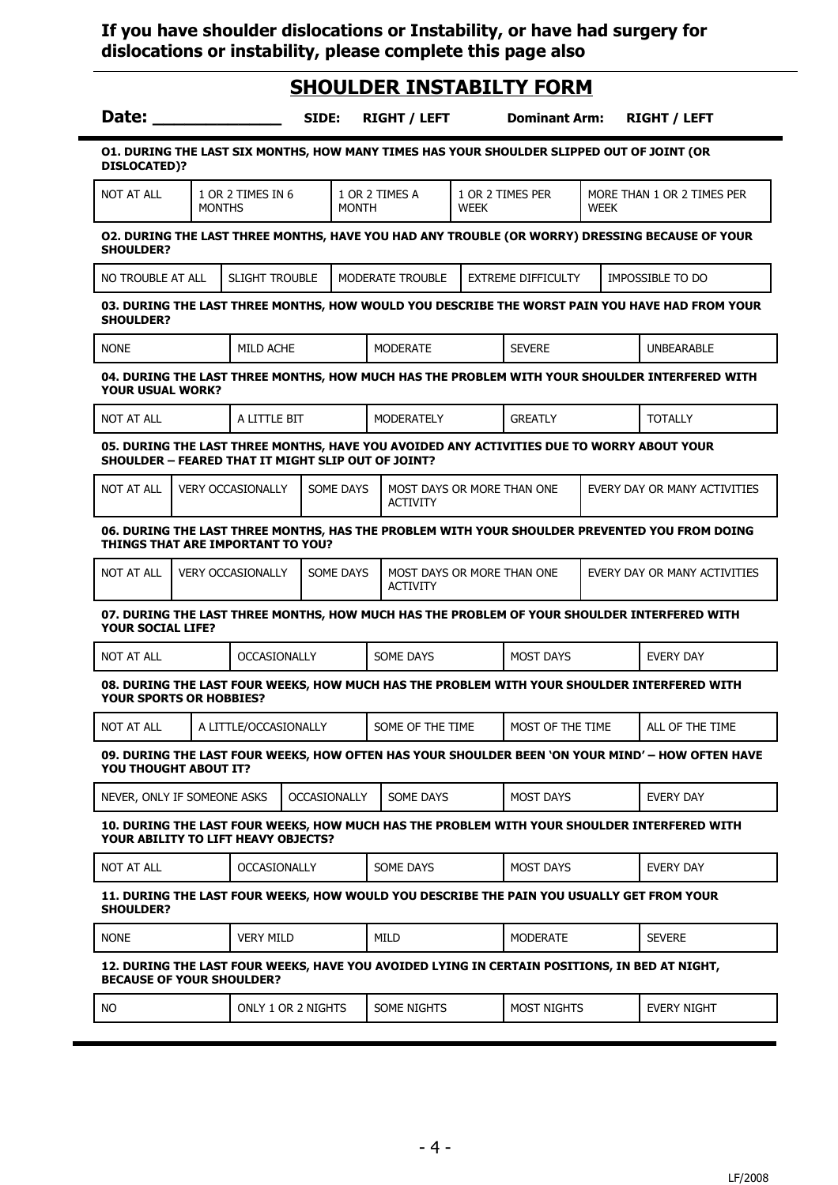### **If you have shoulder dislocations or Instability, or have had surgery for dislocations or instability, please complete this page also**

# **SHOULDER INSTABILTY FORM**

| Date:                                                                                                                                     |                                                                                                                 |                          | SIDE: |                     |                            | <b>RIGHT / LEFT</b>                           |  |  | <b>Dominant Arm:</b> |  | <b>RIGHT / LEFT</b>                                                                              |
|-------------------------------------------------------------------------------------------------------------------------------------------|-----------------------------------------------------------------------------------------------------------------|--------------------------|-------|---------------------|----------------------------|-----------------------------------------------|--|--|----------------------|--|--------------------------------------------------------------------------------------------------|
| 01. DURING THE LAST SIX MONTHS, HOW MANY TIMES HAS YOUR SHOULDER SLIPPED OUT OF JOINT (OR<br><b>DISLOCATED)?</b>                          |                                                                                                                 |                          |       |                     |                            |                                               |  |  |                      |  |                                                                                                  |
| <b>NOT AT ALL</b>                                                                                                                         | 1 OR 2 TIMES IN 6<br>1 OR 2 TIMES A<br>1 OR 2 TIMES PER<br><b>MONTHS</b><br><b>MONTH</b><br>WEEK<br><b>WEEK</b> |                          |       |                     | MORE THAN 1 OR 2 TIMES PER |                                               |  |  |                      |  |                                                                                                  |
| 02. DURING THE LAST THREE MONTHS, HAVE YOU HAD ANY TROUBLE (OR WORRY) DRESSING BECAUSE OF YOUR<br><b>SHOULDER?</b>                        |                                                                                                                 |                          |       |                     |                            |                                               |  |  |                      |  |                                                                                                  |
| <b>SLIGHT TROUBLE</b><br>MODERATE TROUBLE<br><b>EXTREME DIFFICULTY</b><br>NO TROUBLE AT ALL<br>IMPOSSIBLE TO DO                           |                                                                                                                 |                          |       |                     |                            |                                               |  |  |                      |  |                                                                                                  |
| 03. DURING THE LAST THREE MONTHS, HOW WOULD YOU DESCRIBE THE WORST PAIN YOU HAVE HAD FROM YOUR<br><b>SHOULDER?</b>                        |                                                                                                                 |                          |       |                     |                            |                                               |  |  |                      |  |                                                                                                  |
| <b>NONE</b>                                                                                                                               |                                                                                                                 | MILD ACHE                |       |                     |                            | <b>MODERATE</b>                               |  |  | <b>SEVERE</b>        |  | <b>UNBEARABLE</b>                                                                                |
| <b>YOUR USUAL WORK?</b>                                                                                                                   |                                                                                                                 |                          |       |                     |                            |                                               |  |  |                      |  | 04. DURING THE LAST THREE MONTHS, HOW MUCH HAS THE PROBLEM WITH YOUR SHOULDER INTERFERED WITH    |
| <b>NOT AT ALL</b>                                                                                                                         |                                                                                                                 | A LITTLE BIT             |       |                     |                            | <b>MODERATELY</b>                             |  |  | <b>GREATLY</b>       |  | <b>TOTALLY</b>                                                                                   |
| SHOULDER - FEARED THAT IT MIGHT SLIP OUT OF JOINT?                                                                                        |                                                                                                                 |                          |       |                     |                            |                                               |  |  |                      |  | 05. DURING THE LAST THREE MONTHS, HAVE YOU AVOIDED ANY ACTIVITIES DUE TO WORRY ABOUT YOUR        |
| NOT AT ALL                                                                                                                                |                                                                                                                 | <b>VERY OCCASIONALLY</b> |       | SOME DAYS           |                            | MOST DAYS OR MORE THAN ONE<br><b>ACTIVITY</b> |  |  |                      |  | EVERY DAY OR MANY ACTIVITIES                                                                     |
| 06. DURING THE LAST THREE MONTHS, HAS THE PROBLEM WITH YOUR SHOULDER PREVENTED YOU FROM DOING<br><b>THINGS THAT ARE IMPORTANT TO YOU?</b> |                                                                                                                 |                          |       |                     |                            |                                               |  |  |                      |  |                                                                                                  |
| <b>NOT AT ALL</b>                                                                                                                         |                                                                                                                 | <b>VERY OCCASIONALLY</b> |       | <b>SOME DAYS</b>    |                            | MOST DAYS OR MORE THAN ONE<br><b>ACTIVITY</b> |  |  |                      |  | EVERY DAY OR MANY ACTIVITIES                                                                     |
| <b>YOUR SOCIAL LIFE?</b>                                                                                                                  |                                                                                                                 |                          |       |                     |                            |                                               |  |  |                      |  | 07. DURING THE LAST THREE MONTHS, HOW MUCH HAS THE PROBLEM OF YOUR SHOULDER INTERFERED WITH      |
| <b>NOT AT ALL</b>                                                                                                                         |                                                                                                                 | <b>OCCASIONALLY</b>      |       |                     |                            | SOME DAYS                                     |  |  | <b>MOST DAYS</b>     |  | EVERY DAY                                                                                        |
| <b>YOUR SPORTS OR HOBBIES?</b>                                                                                                            |                                                                                                                 |                          |       |                     |                            |                                               |  |  |                      |  | 08. DURING THE LAST FOUR WEEKS, HOW MUCH HAS THE PROBLEM WITH YOUR SHOULDER INTERFERED WITH      |
| <b>NOT AT ALL</b>                                                                                                                         |                                                                                                                 | A LITTLE/OCCASIONALLY    |       |                     |                            | SOME OF THE TIME                              |  |  | MOST OF THE TIME     |  | ALL OF THE TIME                                                                                  |
| YOU THOUGHT ABOUT IT?                                                                                                                     |                                                                                                                 |                          |       |                     |                            |                                               |  |  |                      |  | 09. DURING THE LAST FOUR WEEKS, HOW OFTEN HAS YOUR SHOULDER BEEN 'ON YOUR MIND' - HOW OFTEN HAVE |
| NEVER, ONLY IF SOMEONE ASKS                                                                                                               |                                                                                                                 |                          |       | <b>OCCASIONALLY</b> |                            | SOME DAYS                                     |  |  | <b>MOST DAYS</b>     |  | EVERY DAY                                                                                        |
| YOUR ABILITY TO LIFT HEAVY OBJECTS?                                                                                                       |                                                                                                                 |                          |       |                     |                            |                                               |  |  |                      |  | 10. DURING THE LAST FOUR WEEKS, HOW MUCH HAS THE PROBLEM WITH YOUR SHOULDER INTERFERED WITH      |
| NOT AT ALL                                                                                                                                |                                                                                                                 | <b>OCCASIONALLY</b>      |       |                     |                            | SOME DAYS                                     |  |  | <b>MOST DAYS</b>     |  | EVERY DAY                                                                                        |
| <b>SHOULDER?</b>                                                                                                                          |                                                                                                                 |                          |       |                     |                            |                                               |  |  |                      |  | 11. DURING THE LAST FOUR WEEKS, HOW WOULD YOU DESCRIBE THE PAIN YOU USUALLY GET FROM YOUR        |
| <b>NONE</b>                                                                                                                               |                                                                                                                 | <b>VERY MILD</b>         |       |                     |                            | <b>MILD</b>                                   |  |  | <b>MODERATE</b>      |  | <b>SEVERE</b>                                                                                    |
| <b>BECAUSE OF YOUR SHOULDER?</b>                                                                                                          |                                                                                                                 |                          |       |                     |                            |                                               |  |  |                      |  | 12. DURING THE LAST FOUR WEEKS, HAVE YOU AVOIDED LYING IN CERTAIN POSITIONS, IN BED AT NIGHT,    |
| NO.                                                                                                                                       |                                                                                                                 | ONLY 1 OR 2 NIGHTS       |       |                     |                            | <b>SOME NIGHTS</b>                            |  |  | <b>MOST NIGHTS</b>   |  | <b>EVERY NIGHT</b>                                                                               |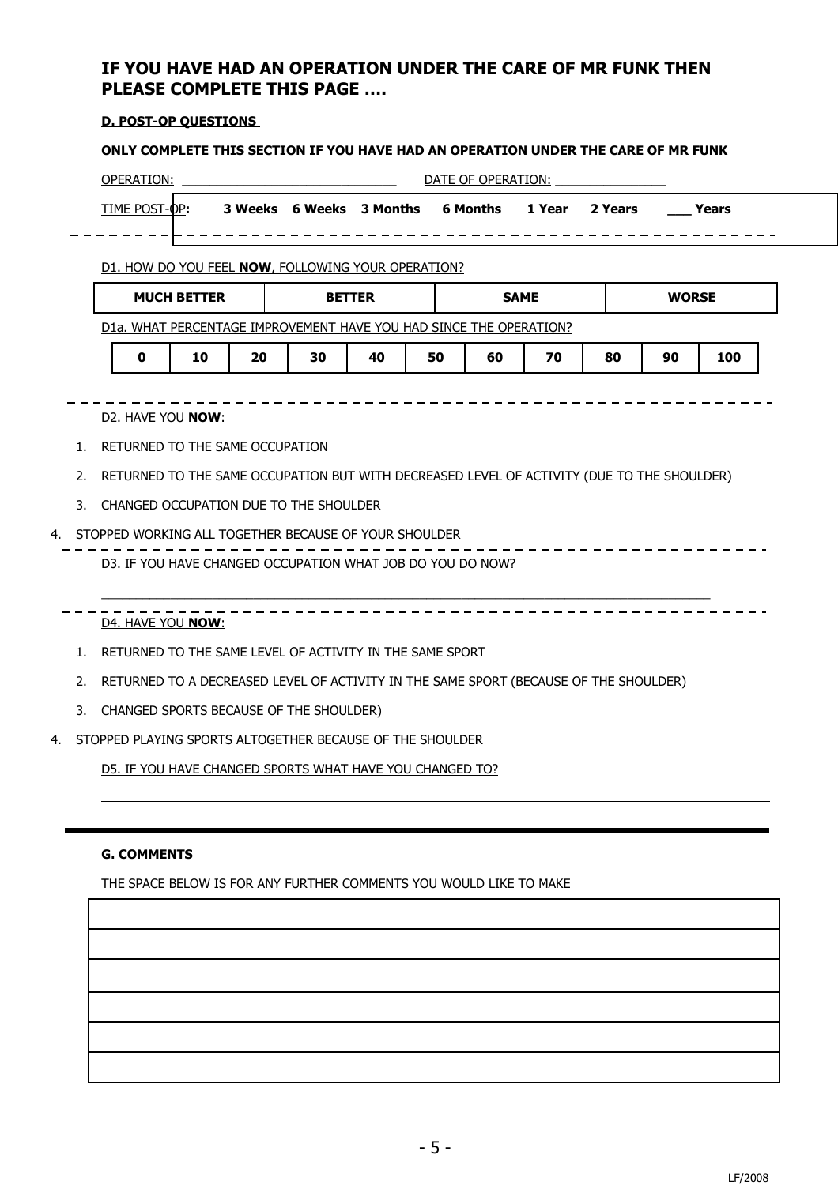# **IF YOU HAVE HAD AN OPERATION UNDER THE CARE OF MR FUNK THEN PLEASE COMPLETE THIS PAGE ….**

#### **D. POST-OP QUESTIONS**

#### **ONLY COMPLETE THIS SECTION IF YOU HAVE HAD AN OPERATION UNDER THE CARE OF MR FUNK**

| OPERATION:                                         | DATE OF OPERATION:           |  |                          |          |        |         |               |  |  |  |
|----------------------------------------------------|------------------------------|--|--------------------------|----------|--------|---------|---------------|--|--|--|
| TIME POST-OP:                                      |                              |  | 3 Weeks 6 Weeks 3 Months | 6 Months | 1 Year | 2 Years | <b>Prears</b> |  |  |  |
|                                                    |                              |  |                          |          |        |         |               |  |  |  |
| D1. HOW DO YOU FEEL NOW, FOLLOWING YOUR OPERATION? |                              |  |                          |          |        |         |               |  |  |  |
| <b>MUCH BETTER</b>                                 | <b>SAME</b><br><b>BETTER</b> |  |                          |          |        |         | <b>WORSE</b>  |  |  |  |

D1a. WHAT PERCENTAGE IMPROVEMENT HAVE YOU HAD SINCE THE OPERATION?

|  | 50<br>__ | - - | . . |  | r n<br>m | 70 |  | Ωſ |  |
|--|----------|-----|-----|--|----------|----|--|----|--|
|--|----------|-----|-----|--|----------|----|--|----|--|

#### D<sub>2</sub>. HAVE YOU **NOW**:

- 1. RETURNED TO THE SAME OCCUPATION
- 2. RETURNED TO THE SAME OCCUPATION BUT WITH DECREASED LEVEL OF ACTIVITY (DUE TO THE SHOULDER)

\_\_\_\_\_\_\_\_\_\_\_\_\_\_\_\_\_\_\_\_\_\_\_\_\_\_\_\_\_\_\_\_\_\_\_\_\_\_\_\_\_\_\_\_\_\_\_\_\_\_\_\_\_\_\_\_\_\_\_\_\_\_\_\_\_\_\_\_\_\_\_\_\_\_\_\_\_\_\_\_\_\_\_\_\_\_\_\_

3. CHANGED OCCUPATION DUE TO THE SHOULDER

#### 4. STOPPED WORKING ALL TOGETHER BECAUSE OF YOUR SHOULDER - - - - - - - - - - $- - - - -$

### D3. IF YOU HAVE CHANGED OCCUPATION WHAT JOB DO YOU DO NOW?

- D4. HAVE YOU **NOW** :
	- 1. RETURNED TO THE SAME LEVEL OF ACTIVITY IN THE SAME SPORT
	- 2. RETURNED TO A DECREASED LEVEL OF ACTIVITY IN THE SAME SPORT (BECAUSE OF THE SHOULDER)
	- 3. CHANGED SPORTS BECAUSE OF THE SHOULDER)

#### 4. STOPPED PLAYING SPORTS ALTOGETHER BECAUSE OF THE SHOULDER

D5. IF YOU HAVE CHANGED SPORTS WHAT HAVE YOU CHANGED TO?

#### **G. COMMENTS**

THE SPACE BELOW IS FOR ANY FURTHER COMMENTS YOU WOULD LIKE TO MAKE

\_\_\_\_\_\_\_\_\_\_\_\_\_\_\_\_\_\_\_

\_ \_ \_ \_ \_ \_ \_ \_ \_ \_ \_ \_ \_ \_ \_